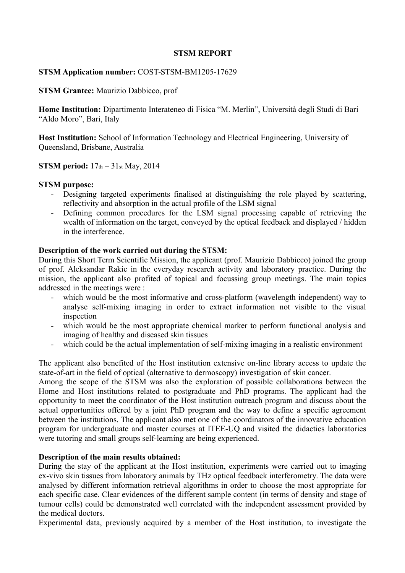### **STSM REPORT**

# **STSM Application number:** COST-STSM-BM1205-17629

## **STSM Grantee:** Maurizio Dabbicco, prof

**Home Institution:** Dipartimento Interateneo di Fisica "M. Merlin", Università degli Studi di Bari "Aldo Moro", Bari, Italy

**Host Institution:** School of Information Technology and Electrical Engineering, University of Queensland, Brisbane, Australia

# **STSM period:**  $17<sub>th</sub> - 31<sub>st</sub>$  May, 2014

# **STSM purpose:**

- Designing targeted experiments finalised at distinguishing the role played by scattering, reflectivity and absorption in the actual profile of the LSM signal
- Defining common procedures for the LSM signal processing capable of retrieving the wealth of information on the target, conveyed by the optical feedback and displayed / hidden in the interference.

# **Description of the work carried out during the STSM:**

During this Short Term Scientific Mission, the applicant (prof. Maurizio Dabbicco) joined the group of prof. Aleksandar Rakic in the everyday research activity and laboratory practice. During the mission, the applicant also profited of topical and focussing group meetings. The main topics addressed in the meetings were :

- which would be the most informative and cross-platform (wavelength independent) way to analyse self-mixing imaging in order to extract information not visible to the visual inspection
- which would be the most appropriate chemical marker to perform functional analysis and imaging of healthy and diseased skin tissues
- which could be the actual implementation of self-mixing imaging in a realistic environment

The applicant also benefited of the Host institution extensive on-line library access to update the state-of-art in the field of optical (alternative to dermoscopy) investigation of skin cancer.

Among the scope of the STSM was also the exploration of possible collaborations between the Home and Host institutions related to postgraduate and PhD programs. The applicant had the opportunity to meet the coordinator of the Host institution outreach program and discuss about the actual opportunities offered by a joint PhD program and the way to define a specific agreement between the institutions. The applicant also met one of the coordinators of the innovative education program for undergraduate and master courses at ITEE-UQ and visited the didactics laboratories were tutoring and small groups self-learning are being experienced.

### **Description of the main results obtained:**

During the stay of the applicant at the Host institution, experiments were carried out to imaging ex-vivo skin tissues from laboratory animals by THz optical feedback interferometry. The data were analysed by different information retrieval algorithms in order to choose the most appropriate for each specific case. Clear evidences of the different sample content (in terms of density and stage of tumour cells) could be demonstrated well correlated with the independent assessment provided by the medical doctors.

Experimental data, previously acquired by a member of the Host institution, to investigate the